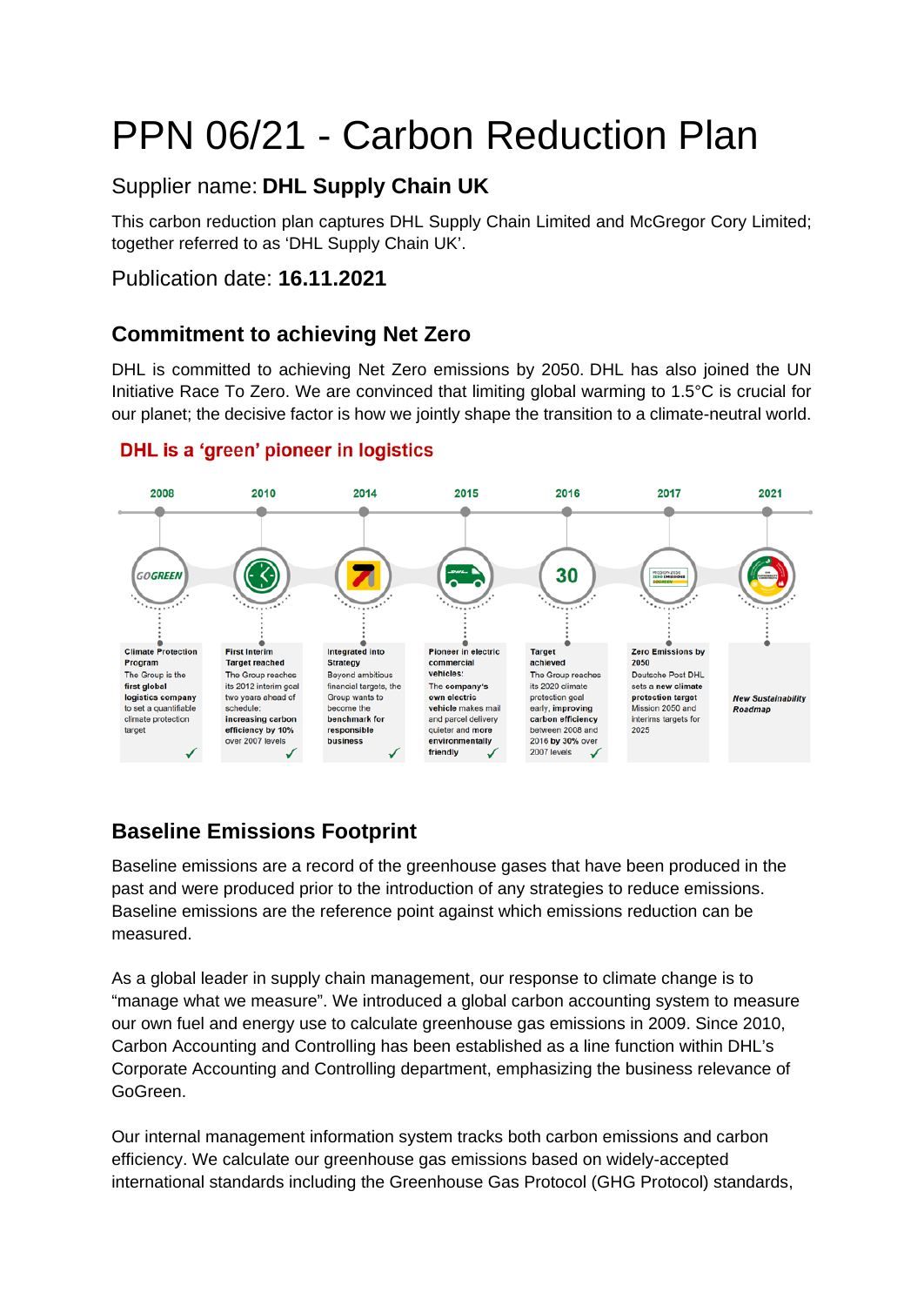# PPN 06/21 - Carbon Reduction Plan

# Supplier name: **DHL Supply Chain UK**

This carbon reduction plan captures DHL Supply Chain Limited and McGregor Cory Limited; together referred to as 'DHL Supply Chain UK'.

## Publication date: **16.11.2021**

# **Commitment to achieving Net Zero**

DHL is committed to achieving Net Zero emissions by 2050. DHL has also joined the UN Initiative Race To Zero. We are convinced that limiting global warming to 1.5°C is crucial for our planet; the decisive factor is how we jointly shape the transition to a climate-neutral world.



## **DHL** is a 'green' pioneer in logistics

# **Baseline Emissions Footprint**

Baseline emissions are a record of the greenhouse gases that have been produced in the past and were produced prior to the introduction of any strategies to reduce emissions. Baseline emissions are the reference point against which emissions reduction can be measured.

As a global leader in supply chain management, our response to climate change is to "manage what we measure". We introduced a global carbon accounting system to measure our own fuel and energy use to calculate greenhouse gas emissions in 2009. Since 2010, Carbon Accounting and Controlling has been established as a line function within DHL's Corporate Accounting and Controlling department, emphasizing the business relevance of GoGreen.

Our internal management information system tracks both carbon emissions and carbon efficiency. We calculate our greenhouse gas emissions based on widely-accepted international standards including the Greenhouse Gas Protocol (GHG Protocol) standards,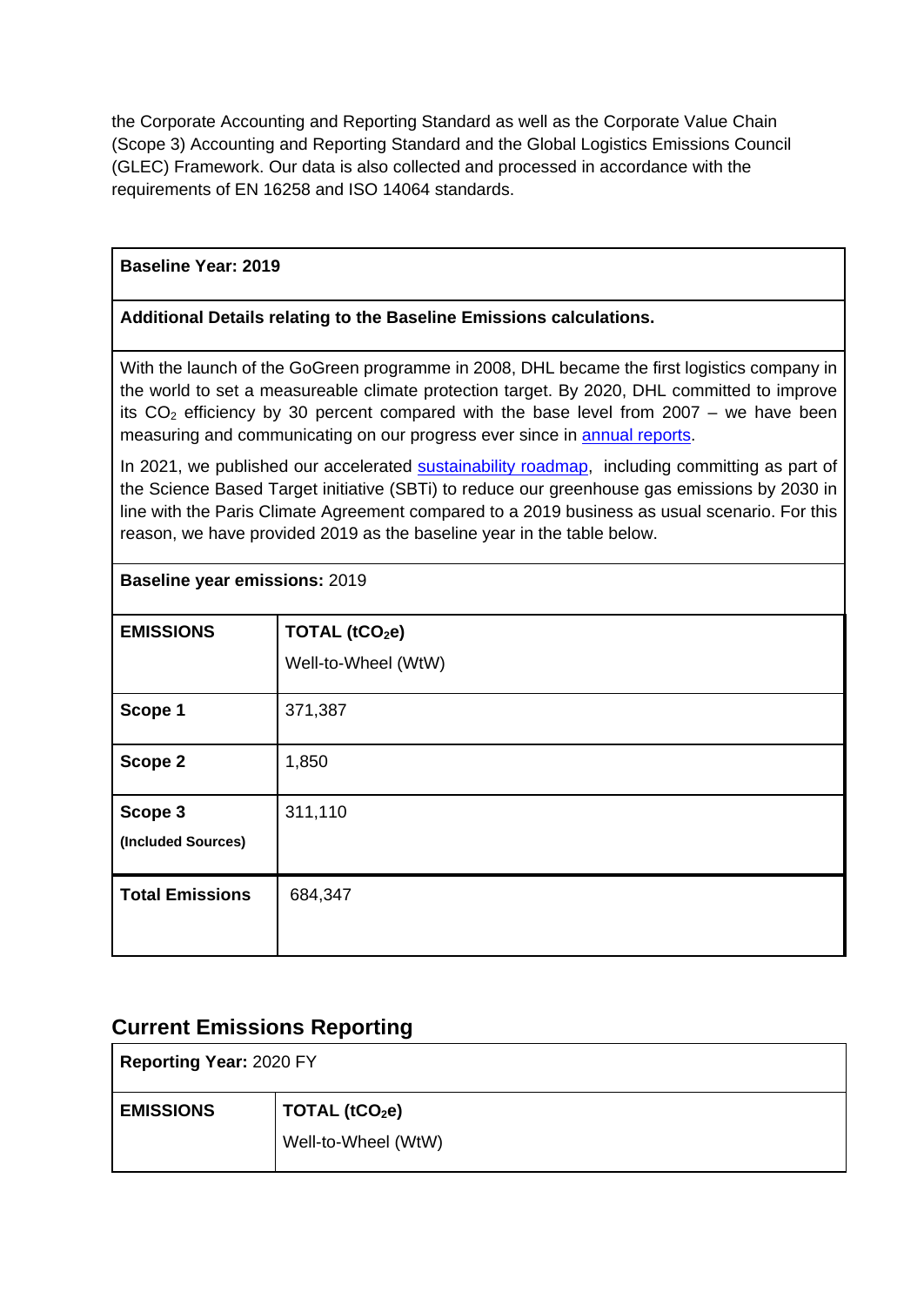the Corporate Accounting and Reporting Standard as well as the Corporate Value Chain (Scope 3) Accounting and Reporting Standard and the Global Logistics Emissions Council (GLEC) Framework. Our data is also collected and processed in accordance with the requirements of EN 16258 and ISO 14064 standards.

### **Baseline Year: 2019**

**Baseline year emissions:** 2019

#### **Additional Details relating to the Baseline Emissions calculations.**

With the launch of the GoGreen programme in 2008, DHL became the first logistics company in the world to set a measureable climate protection target. By 2020, DHL committed to improve its  $CO<sub>2</sub>$  efficiency by 30 percent compared with the base level from 2007 – we have been measuring and communicating on our progress ever since in [annual reports.](https://www.dpdhl.com/en/investors/esg.html)

In 2021, we published our accelerated [sustainability roadmap,](https://www.dpdhl.com/en/media-relations/press-releases/2021/dpdhl-accelerated-roadmap-to-decarbonization.html) including committing as part of the Science Based Target initiative (SBTi) to reduce our greenhouse gas emissions by 2030 in line with the Paris Climate Agreement compared to a 2019 business as usual scenario. For this reason, we have provided 2019 as the baseline year in the table below.

| <b>EMISSIONS</b>       | TOTAL (tCO <sub>2</sub> e) |
|------------------------|----------------------------|
|                        | Well-to-Wheel (WtW)        |
| Scope 1                | 371,387                    |
| Scope 2                | 1,850                      |
| Scope 3                | 311,110                    |
| (Included Sources)     |                            |
| <b>Total Emissions</b> | 684,347                    |
|                        |                            |

## **Current Emissions Reporting**

| <b>Reporting Year: 2020 FY</b> |                     |  |
|--------------------------------|---------------------|--|
| <b>EMISSIONS</b>               | TOTAL $(tCO2e)$     |  |
|                                | Well-to-Wheel (WtW) |  |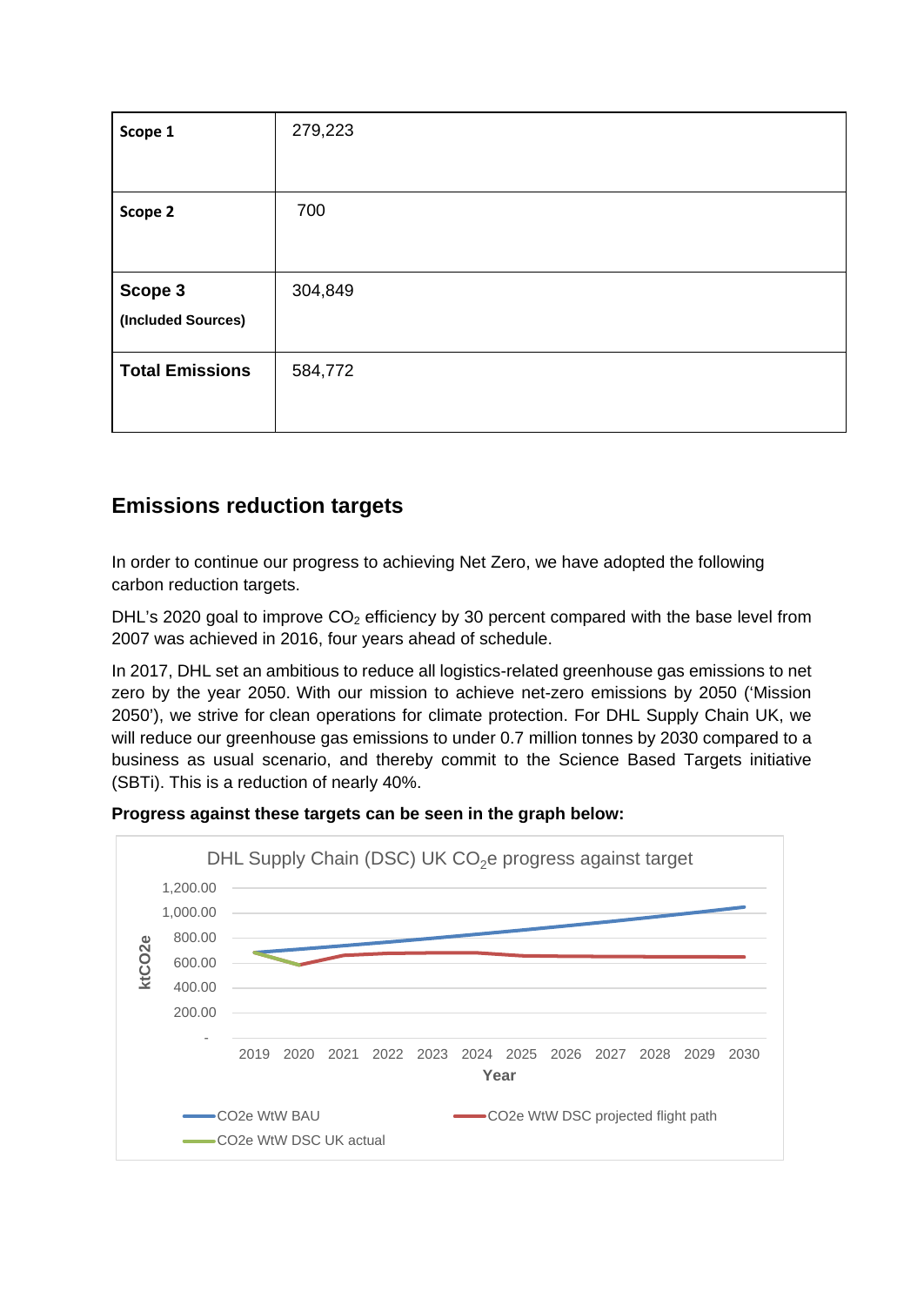| Scope 1                | 279,223 |
|------------------------|---------|
|                        |         |
| Scope 2                | 700     |
|                        |         |
| Scope 3                | 304,849 |
| (Included Sources)     |         |
| <b>Total Emissions</b> | 584,772 |
|                        |         |

# **Emissions reduction targets**

In order to continue our progress to achieving Net Zero, we have adopted the following carbon reduction targets.

DHL's 2020 goal to improve  $CO<sub>2</sub>$  efficiency by 30 percent compared with the base level from 2007 was achieved in 2016, four years ahead of schedule.

In 2017, DHL set an ambitious to reduce all logistics-related greenhouse gas emissions to net zero by the year 2050. With our mission to achieve net-zero emissions by 2050 ('Mission 2050'), we strive for clean operations for climate protection. For DHL Supply Chain UK, we will reduce our greenhouse gas emissions to under 0.7 million tonnes by 2030 compared to a business as usual scenario, and thereby commit to the Science Based Targets initiative (SBTi). This is a reduction of nearly 40%.



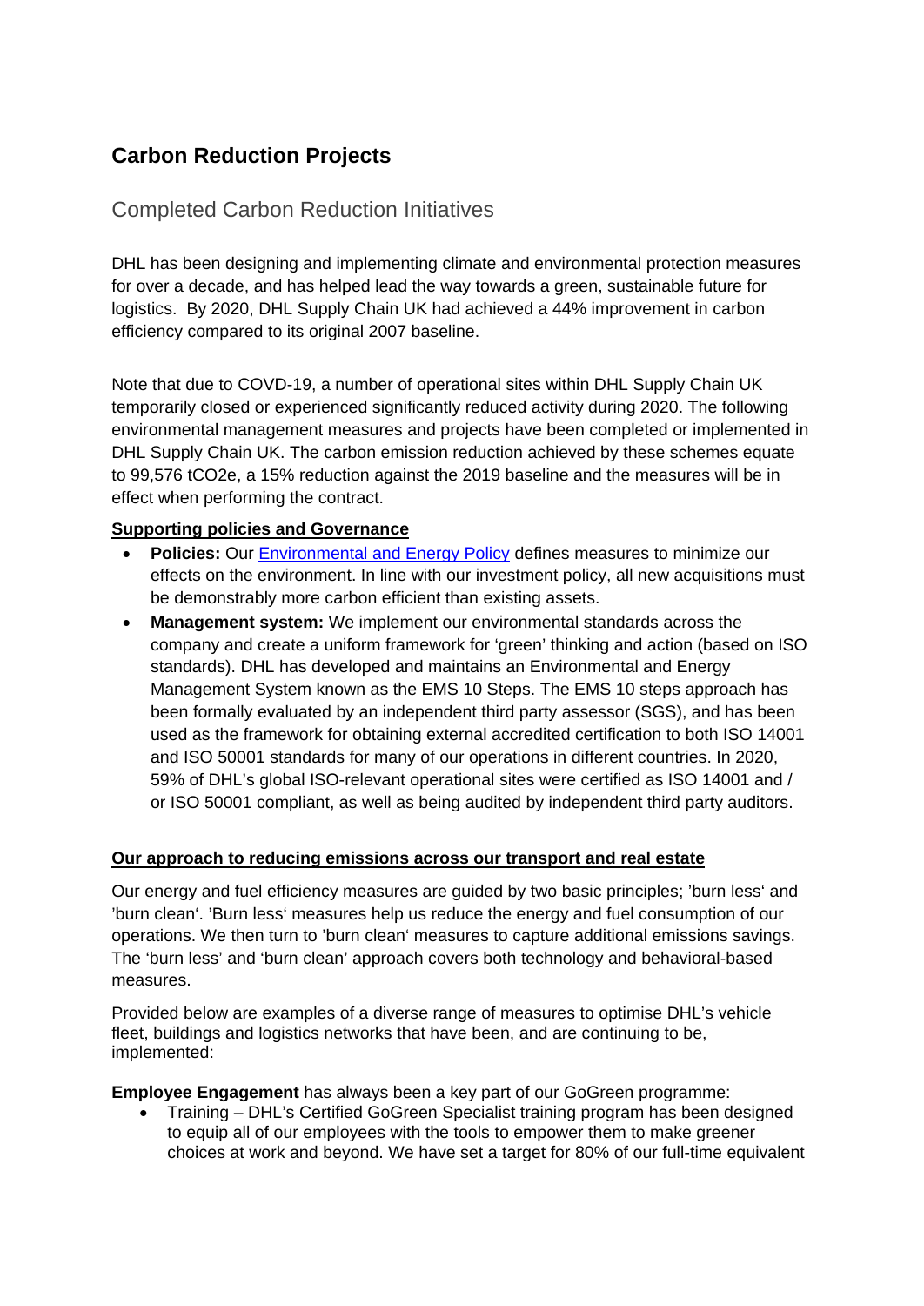# **Carbon Reduction Projects**

## Completed Carbon Reduction Initiatives

DHL has been designing and implementing climate and environmental protection measures for over a decade, and has helped lead the way towards a green, sustainable future for logistics. By 2020, DHL Supply Chain UK had achieved a 44% improvement in carbon efficiency compared to its original 2007 baseline.

Note that due to COVD-19, a number of operational sites within DHL Supply Chain UK temporarily closed or experienced significantly reduced activity during 2020. The following environmental management measures and projects have been completed or implemented in DHL Supply Chain UK. The carbon emission reduction achieved by these schemes equate to 99,576 tCO2e, a 15% reduction against the 2019 baseline and the measures will be in effect when performing the contract.

#### **Supporting policies and Governance**

- **Policies:** Our [Environmental and Energy Policy](https://www.dpdhl.com/content/dam/dpdhl/en/media-center/responsibility/dpdhl-group-environmental-energy-policy-032018.pdf) defines measures to minimize our effects on the environment. In line with our investment policy, all new acquisitions must be demonstrably more carbon efficient than existing assets.
- **Management system:** We implement our environmental standards across the company and create a uniform framework for 'green' thinking and action (based on ISO standards). DHL has developed and maintains an Environmental and Energy Management System known as the EMS 10 Steps. The EMS 10 steps approach has been formally evaluated by an independent third party assessor (SGS), and has been used as the framework for obtaining external accredited certification to both ISO 14001 and ISO 50001 standards for many of our operations in different countries. In 2020, 59% of DHL's global ISO-relevant operational sites were certified as ISO 14001 and / or ISO 50001 compliant, as well as being audited by independent third party auditors.

#### **Our approach to reducing emissions across our transport and real estate**

Our energy and fuel efficiency measures are guided by two basic principles; 'burn less' and 'burn clean'. 'Burn less' measures help us reduce the energy and fuel consumption of our operations. We then turn to 'burn clean' measures to capture additional emissions savings. The 'burn less' and 'burn clean' approach covers both technology and behavioral-based measures.

Provided below are examples of a diverse range of measures to optimise DHL's vehicle fleet, buildings and logistics networks that have been, and are continuing to be, implemented:

**Employee Engagement** has always been a key part of our GoGreen programme:

• Training – DHL's Certified GoGreen Specialist training program has been designed to equip all of our employees with the tools to empower them to make greener choices at work and beyond. We have set a target for 80% of our full-time equivalent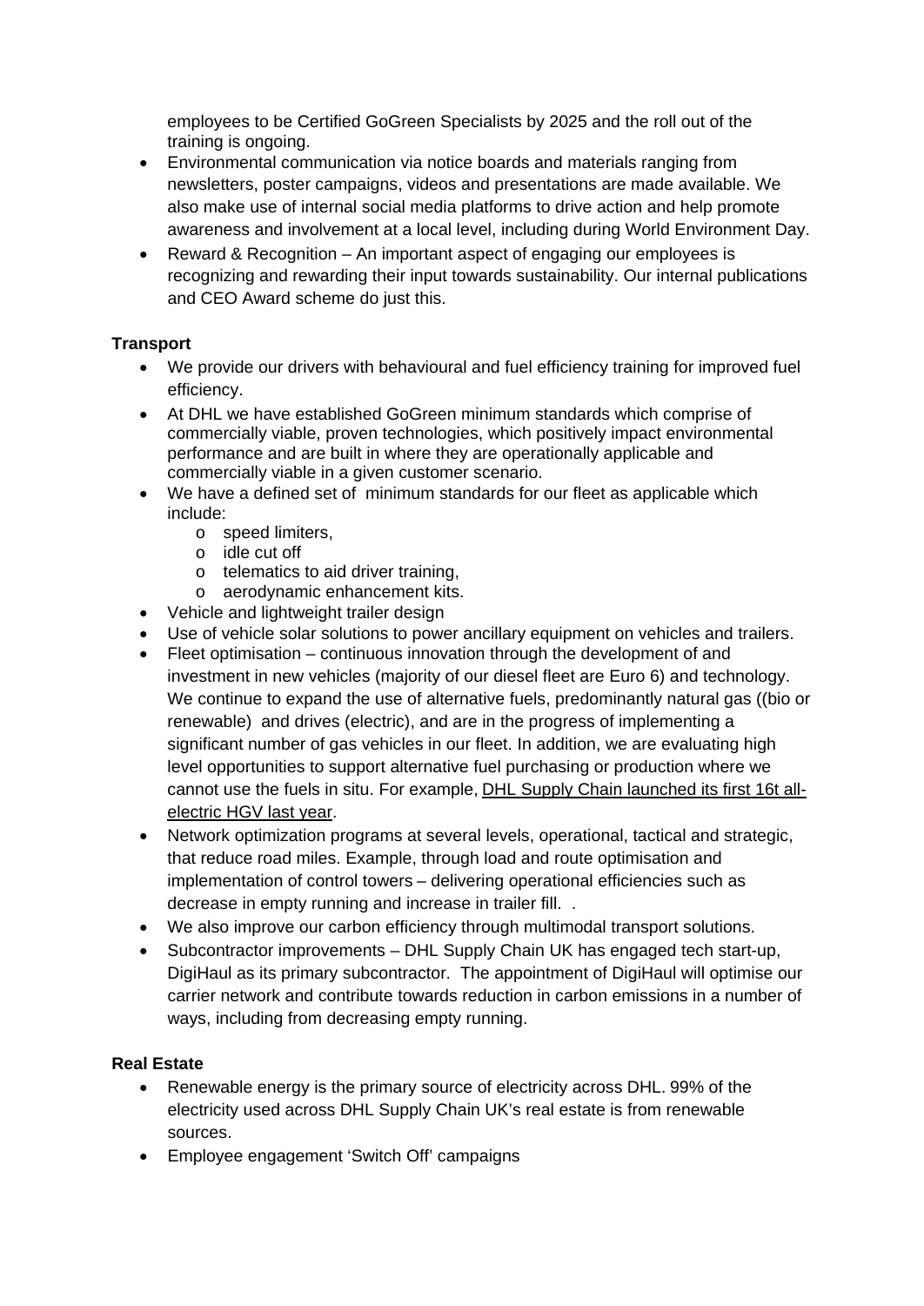employees to be Certified GoGreen Specialists by 2025 and the roll out of the training is ongoing.

- Environmental communication via notice boards and materials ranging from newsletters, poster campaigns, videos and presentations are made available. We also make use of internal social media platforms to drive action and help promote awareness and involvement at a local level, including during World Environment Day.
- Reward & Recognition An important aspect of engaging our employees is recognizing and rewarding their input towards sustainability. Our internal publications and CEO Award scheme do just this.

### **Transport**

- We provide our drivers with behavioural and fuel efficiency training for improved fuel efficiency.
- At DHL we have established GoGreen minimum standards which comprise of commercially viable, proven technologies, which positively impact environmental performance and are built in where they are operationally applicable and commercially viable in a given customer scenario.
- We have a defined set of minimum standards for our fleet as applicable which include:
	- o speed limiters,
	- o idle cut off
	- o telematics to aid driver training,
	- o aerodynamic enhancement kits.
- Vehicle and lightweight trailer design
- Use of vehicle solar solutions to power ancillary equipment on vehicles and trailers.
- Fleet optimisation continuous innovation through the development of and investment in new vehicles (majority of our diesel fleet are Euro 6) and technology. We continue to expand the use of alternative fuels, predominantly natural gas ((bio or renewable) and drives (electric), and are in the progress of implementing a significant number of gas vehicles in our fleet. In addition, we are evaluating high level opportunities to support alternative fuel purchasing or production where we cannot use the fuels in situ. For example, [DHL Supply Chain launched its first 16t all](https://www.dhl.com/gb-en/home/press/press-archive/2020/dhl-supply-chain-takes-to-the-road-with-uks-first-electric-16-tonne-truck.html)[electric HGV last year.](https://www.dhl.com/gb-en/home/press/press-archive/2020/dhl-supply-chain-takes-to-the-road-with-uks-first-electric-16-tonne-truck.html)
- Network optimization programs at several levels, operational, tactical and strategic, that reduce road miles. Example, through load and route optimisation and implementation of control towers – delivering operational efficiencies such as decrease in empty running and increase in trailer fill. .
- We also improve our carbon efficiency through multimodal transport solutions.
- Subcontractor improvements DHL Supply Chain UK has engaged tech start-up, DigiHaul as its primary subcontractor. The appointment of DigiHaul will optimise our carrier network and contribute towards reduction in carbon emissions in a number of ways, including from decreasing empty running.

#### **Real Estate**

- Renewable energy is the primary source of electricity across DHL. 99% of the electricity used across DHL Supply Chain UK's real estate is from renewable sources.
- Employee engagement 'Switch Off' campaigns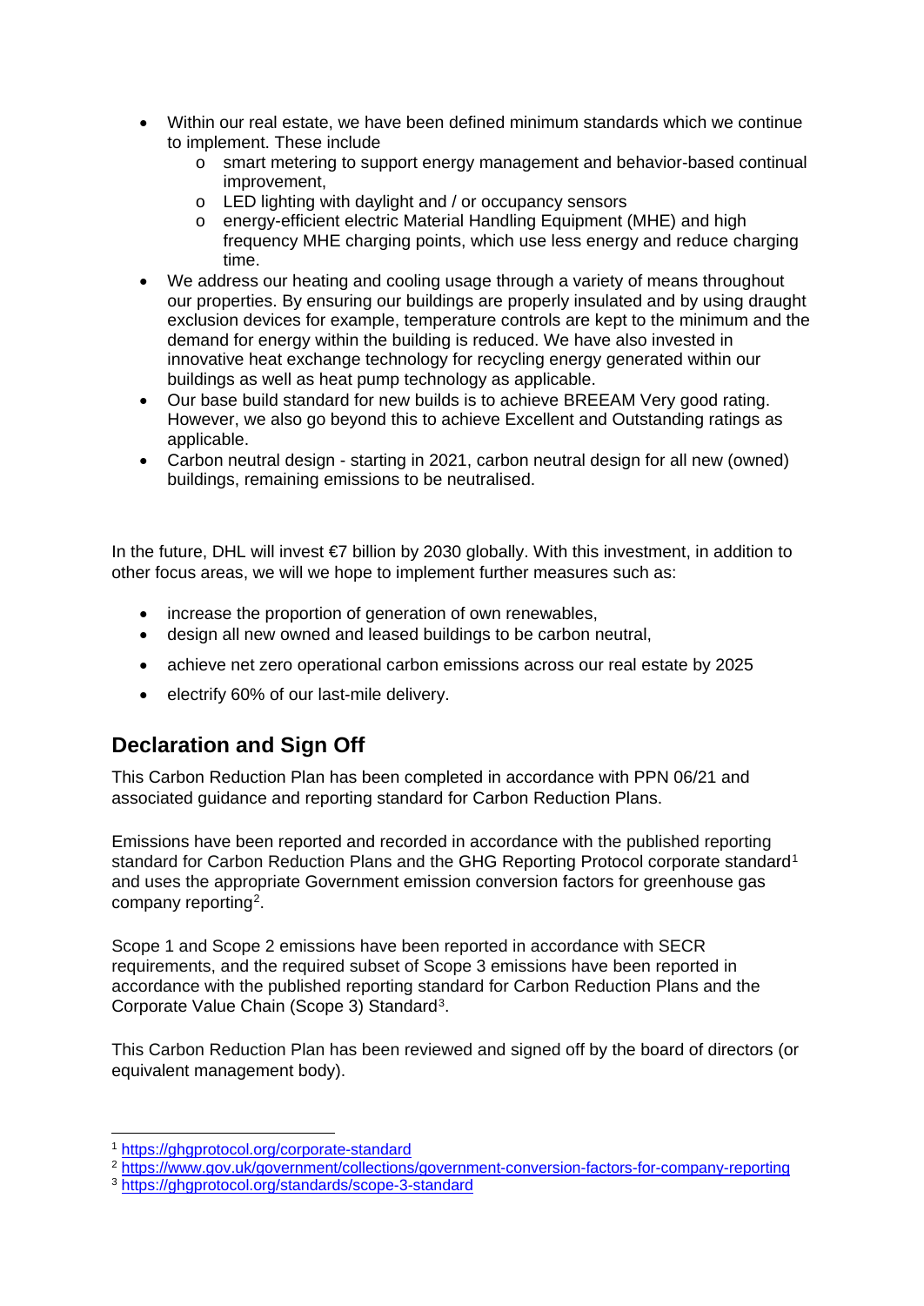- Within our real estate, we have been defined minimum standards which we continue to implement. These include
	- o smart metering to support energy management and behavior-based continual improvement,
	- o LED lighting with daylight and / or occupancy sensors
	- o energy-efficient electric Material Handling Equipment (MHE) and high frequency MHE charging points, which use less energy and reduce charging time.
- We address our heating and cooling usage through a variety of means throughout our properties. By ensuring our buildings are properly insulated and by using draught exclusion devices for example, temperature controls are kept to the minimum and the demand for energy within the building is reduced. We have also invested in innovative heat exchange technology for recycling energy generated within our buildings as well as heat pump technology as applicable.
- Our base build standard for new builds is to achieve BREEAM Very good rating. However, we also go beyond this to achieve Excellent and Outstanding ratings as applicable.
- Carbon neutral design starting in 2021, carbon neutral design for all new (owned) buildings, remaining emissions to be neutralised.

In the future, DHL will invest €7 billion by 2030 globally. With this investment, in addition to other focus areas, we will we hope to implement further measures such as:

- increase the proportion of generation of own renewables,
- design all new owned and leased buildings to be carbon neutral,
- achieve net zero operational carbon emissions across our real estate by 2025
- electrify 60% of our last-mile delivery.

## **Declaration and Sign Off**

This Carbon Reduction Plan has been completed in accordance with PPN 06/21 and associated guidance and reporting standard for Carbon Reduction Plans.

Emissions have been reported and recorded in accordance with the published reporting standard for Carbon Reduction Plans and the GHG Reporting Protocol corporate standard<sup>[1](#page-5-0)</sup> and uses the appropriate [Government emission conversion factors for greenhouse gas](https://www.gov.uk/government/collections/government-conversion-factors-for-company-reporting)  [company reporting](https://www.gov.uk/government/collections/government-conversion-factors-for-company-reporting)[2.](#page-5-1)

Scope 1 and Scope 2 emissions have been reported in accordance with SECR requirements, and the required subset of Scope 3 emissions have been reported in accordance with the published reporting standard for Carbon Reduction Plans and the Corporate Value Chain (Scope 3) Standard[3.](#page-5-2)

This Carbon Reduction Plan has been reviewed and signed off by the board of directors (or equivalent management body).

 <sup>1</sup> <https://ghgprotocol.org/corporate-standard>

<span id="page-5-1"></span><span id="page-5-0"></span><sup>2</sup> <https://www.gov.uk/government/collections/government-conversion-factors-for-company-reporting>

<span id="page-5-2"></span><sup>3</sup> <https://ghgprotocol.org/standards/scope-3-standard>